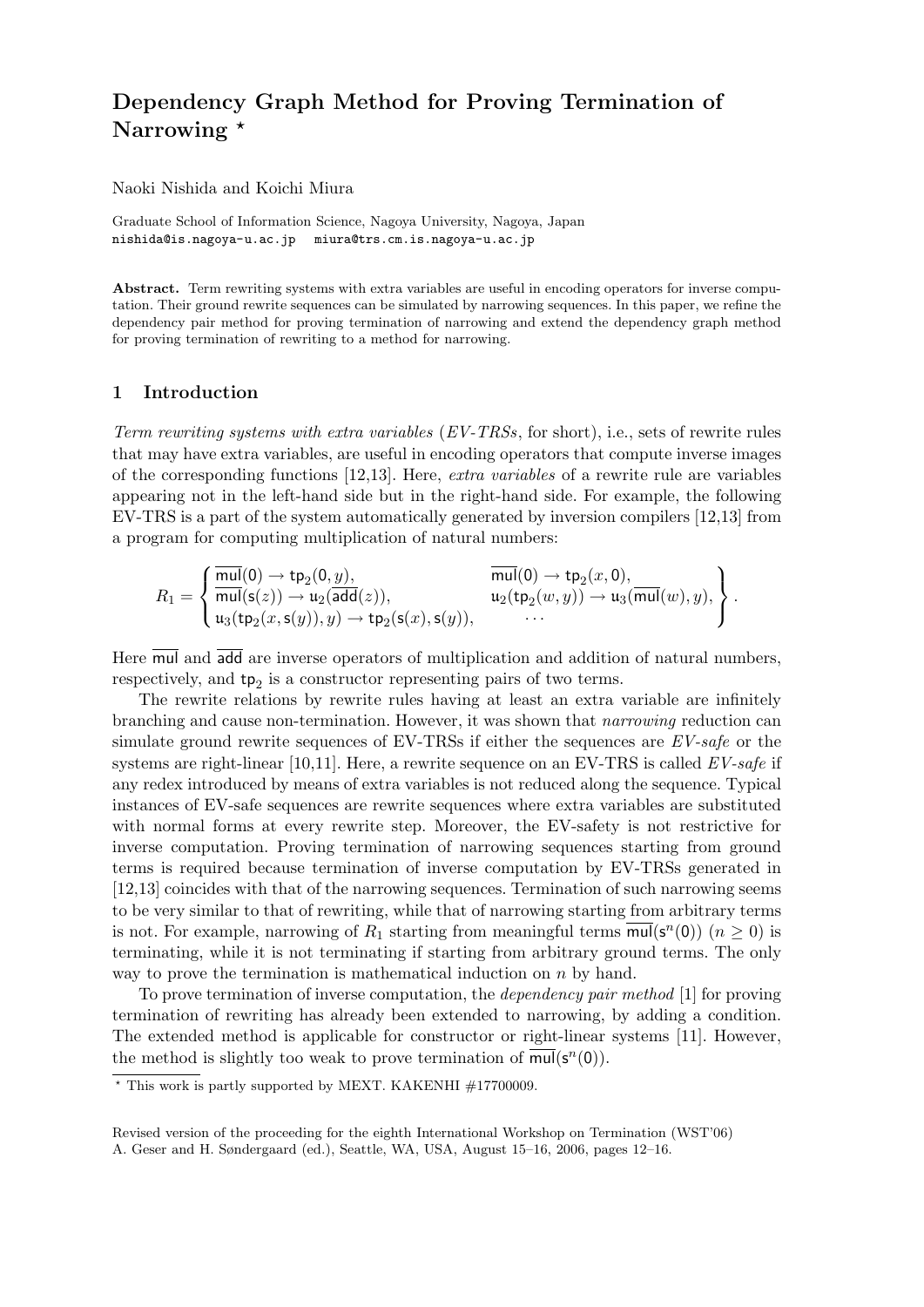# **Dependency Graph Method for Proving Termination of Narrowing** *?*

Naoki Nishida and Koichi Miura

Graduate School of Information Science, Nagoya University, Nagoya, Japan nishida@is.nagoya-u.ac.jp miura@trs.cm.is.nagoya-u.ac.jp

Abstract. Term rewriting systems with extra variables are useful in encoding operators for inverse computation. Their ground rewrite sequences can be simulated by narrowing sequences. In this paper, we refine the dependency pair method for proving termination of narrowing and extend the dependency graph method for proving termination of rewriting to a method for narrowing.

### **1 Introduction**

*Term rewriting systems with extra variables* (*EV-TRSs*, for short), i.e., sets of rewrite rules that may have extra variables, are useful in encoding operators that compute inverse images of the corresponding functions [12,13]. Here, *extra variables* of a rewrite rule are variables appearing not in the left-hand side but in the right-hand side. For example, the following EV-TRS is a part of the system automatically generated by inversion compilers [12,13] from a program for computing multiplication of natural numbers:

$$
R_1=\left\{\begin{aligned}&\overline{\text{mul}}(0)\rightarrow \text{tp}_2(0,y),&\overline{\text{mul}}(0)\rightarrow \text{tp}_2(x,0),\\&\overline{\text{mul}}(\text{s}(z))\rightarrow \text{u}_2(\overline{\text{add}}(z)),&\text{u}_2(\text{tp}_2(w,y))\rightarrow \text{u}_3(\overline{\text{mul}}(w),y),\\&\text{u}_3(\text{tp}_2(x,\text{s}(y)),y)\rightarrow \text{tp}_2(\text{s}(x),\text{s}(y)),&\cdots\end{aligned}\right\}.
$$

Here mul and add are inverse operators of multiplication and addition of natural numbers, respectively, and  $tp_2$  is a constructor representing pairs of two terms.

The rewrite relations by rewrite rules having at least an extra variable are infinitely branching and cause non-termination. However, it was shown that *narrowing* reduction can simulate ground rewrite sequences of EV-TRSs if either the sequences are *EV-safe* or the systems are right-linear [10,11]. Here, a rewrite sequence on an EV-TRS is called *EV-safe* if any redex introduced by means of extra variables is not reduced along the sequence. Typical instances of EV-safe sequences are rewrite sequences where extra variables are substituted with normal forms at every rewrite step. Moreover, the EV-safety is not restrictive for inverse computation. Proving termination of narrowing sequences starting from ground terms is required because termination of inverse computation by EV-TRSs generated in [12,13] coincides with that of the narrowing sequences. Termination of such narrowing seems to be very similar to that of rewriting, while that of narrowing starting from arbitrary terms is not. For example, narrowing of  $R_1$  starting from meaningful terms  $\overline{\text{mul}}(\mathbf{s}^n(0))$  ( $n \geq 0$ ) is terminating, while it is not terminating if starting from arbitrary ground terms. The only way to prove the termination is mathematical induction on *n* by hand.

To prove termination of inverse computation, the *dependency pair method* [1] for proving termination of rewriting has already been extended to narrowing, by adding a condition. The extended method is applicable for constructor or right-linear systems [11]. However, the method is slightly too weak to prove termination of  $\overline{\mathsf{mul}}(\mathsf{s}^n(0)).$ 

*<sup>?</sup>* This work is partly supported by MEXT. KAKENHI #17700009.

Revised version of the proceeding for the eighth International Workshop on Termination (WST'06) A. Geser and H. Søndergaard (ed.), Seattle, WA, USA, August 15–16, 2006, pages 12–16.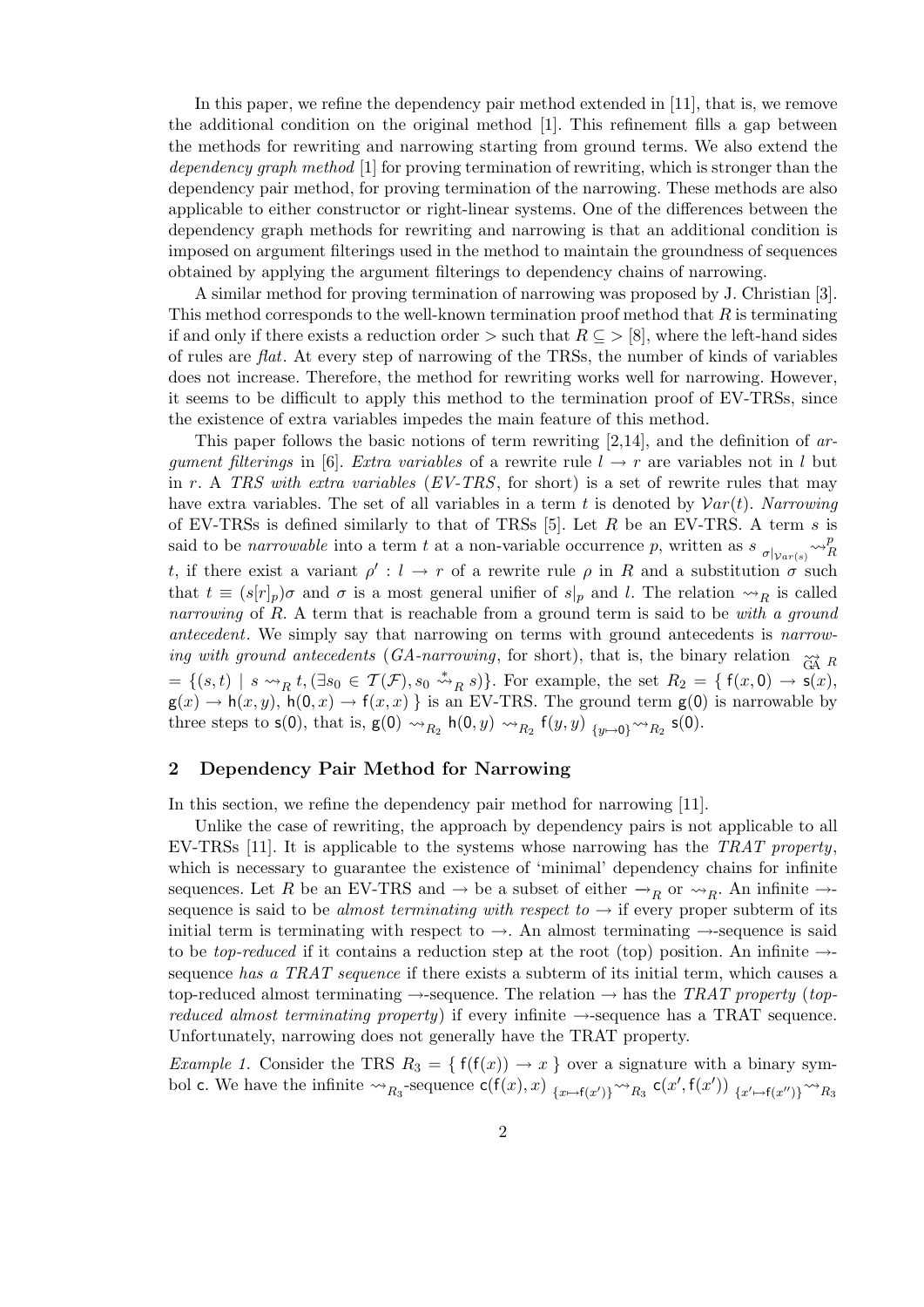In this paper, we refine the dependency pair method extended in [11], that is, we remove the additional condition on the original method [1]. This refinement fills a gap between the methods for rewriting and narrowing starting from ground terms. We also extend the *dependency graph method* [1] for proving termination of rewriting, which is stronger than the dependency pair method, for proving termination of the narrowing. These methods are also applicable to either constructor or right-linear systems. One of the differences between the dependency graph methods for rewriting and narrowing is that an additional condition is imposed on argument filterings used in the method to maintain the groundness of sequences obtained by applying the argument filterings to dependency chains of narrowing.

A similar method for proving termination of narrowing was proposed by J. Christian [3]. This method corresponds to the well-known termination proof method that *R* is terminating if and only if there exists a reduction order  $>$  such that  $R \subseteq > [8]$ , where the left-hand sides of rules are *flat*. At every step of narrowing of the TRSs, the number of kinds of variables does not increase. Therefore, the method for rewriting works well for narrowing. However, it seems to be difficult to apply this method to the termination proof of EV-TRSs, since the existence of extra variables impedes the main feature of this method.

This paper follows the basic notions of term rewriting [2,14], and the definition of *argument filterings* in [6]. *Extra variables* of a rewrite rule  $l \rightarrow r$  are variables not in *l* but in *r*. A *TRS with extra variables* (*EV-TRS*, for short) is a set of rewrite rules that may have extra variables. The set of all variables in a term t is denoted by  $Var(t)$ . *Narrowing* of EV-TRSs is defined similarly to that of TRSs [5]. Let *R* be an EV-TRS. A term *s* is said to be *narrowable* into a term *t* at a non-variable occurrence *p*, written as  $s$   $\sigma$ <sub> $|v_{ar(s)} \sim$ <sup>*p*</sup></sup>*p*</sub> *R t*, if there exist a variant  $\rho' : l \to r$  of a rewrite rule  $\rho$  in *R* and a substitution  $\sigma$  such that  $t \equiv (s[r]_p)\sigma$  and  $\sigma$  is a most general unifier of  $s|_p$  and *l*. The relation  $\leadsto_R$  is called *narrowing* of *R*. A term that is reachable from a ground term is said to be *with a ground antecedent*. We simply say that narrowing on terms with ground antecedents is *narrowing with ground antecedents* (*GA-narrowing*, for short), that is, the binary relation  $\widetilde{G}$ <sup>A</sup> *R*  $=\{(s,t) \mid s \leadsto_R t, (\exists s_0 \in \mathcal{T}(\mathcal{F}), s_0 \stackrel{*}{\leadsto}_R s)\}.$  For example, the set  $R_2 = \{\mathsf{f}(x,0) \to \mathsf{s}(x),$  $g(x) \to h(x, y)$ ,  $h(0, x) \to f(x, x)$  *}* is an EV-TRS. The ground term  $g(0)$  is narrowable by three steps to  $\mathsf{s}(0)$ , that is,  $\mathsf{g}(0) \rightsquigarrow_{R_2} \mathsf{h}(0,y) \rightsquigarrow_{R_2} \mathsf{f}(y,y)$   $\{y \mapsto 0\}^{\sim \sim} R_2$   $\mathsf{s}(0)$ .

#### **2 Dependency Pair Method for Narrowing**

In this section, we refine the dependency pair method for narrowing [11].

Unlike the case of rewriting, the approach by dependency pairs is not applicable to all EV-TRSs [11]. It is applicable to the systems whose narrowing has the *TRAT property*, which is necessary to guarantee the existence of 'minimal' dependency chains for infinite sequences. Let *R* be an EV-TRS and  $\rightarrow$  be a subset of either  $\rightarrow_R$  or  $\rightsquigarrow_R$ . An infinite  $\rightarrow$ sequence is said to be *almost terminating with respect to*  $\rightarrow$  if every proper subterm of its initial term is terminating with respect to *→*. An almost terminating *→*-sequence is said to be *top-reduced* if it contains a reduction step at the root (top) position. An infinite *→* sequence *has a TRAT sequence* if there exists a subterm of its initial term, which causes a top-reduced almost terminating *→*-sequence. The relation *→* has the *TRAT property* (*topreduced almost terminating property*) if every infinite *→*-sequence has a TRAT sequence. Unfortunately, narrowing does not generally have the TRAT property.

*Example 1.* Consider the TRS  $R_3 = \{f(f(x)) \rightarrow x\}$  over a signature with a binary symbol c. We have the infinite  $\leadsto_{R_3}$ -sequence  $c(f(x),x)$   $_{\{x\mapsto f(x')\}} \leadsto_{R_3} c(x',f(x'))$   $_{\{x'\mapsto f(x'')\}} \leadsto_{R_3}$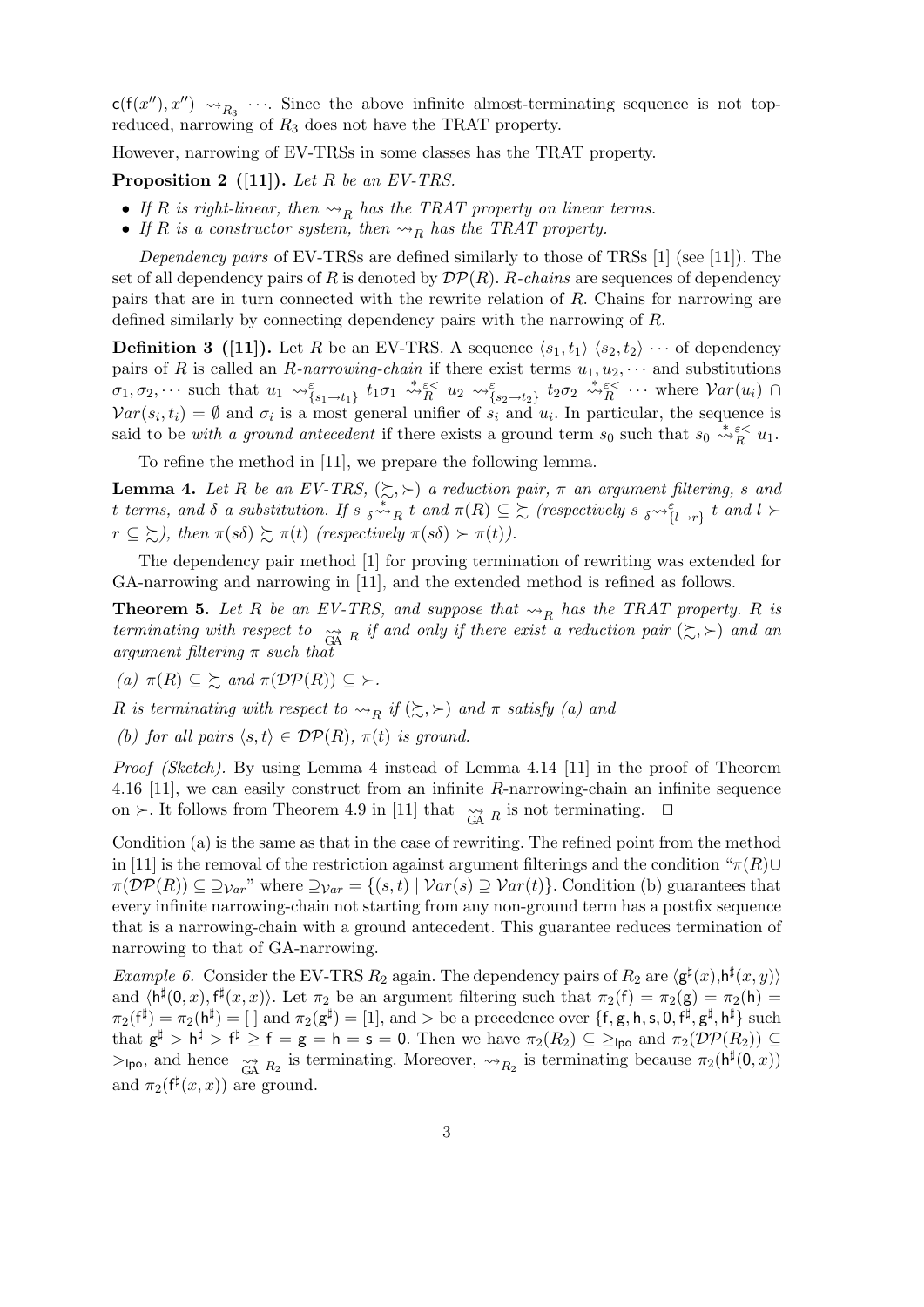$c(f(x''), x'') \rightsquigarrow_{R_3} \cdots$ . Since the above infinite almost-terminating sequence is not topreduced, narrowing of *R*<sup>3</sup> does not have the TRAT property.

However, narrowing of EV-TRSs in some classes has the TRAT property.

**Proposition 2 ([11]).** *Let R be an EV-TRS.*

- If *R* is right-linear, then  $\rightsquigarrow_R$  has the TRAT property on linear terms.
- If  $R$  is a constructor system, then  $\rightsquigarrow_R$  has the TRAT property.

*Dependency pairs* of EV-TRSs are defined similarly to those of TRSs [1] (see [11]). The set of all dependency pairs of *R* is denoted by *DP*(*R*). *R-chains* are sequences of dependency pairs that are in turn connected with the rewrite relation of *R*. Chains for narrowing are defined similarly by connecting dependency pairs with the narrowing of *R*.

**Definition 3** ([11]). Let *R* be an EV-TRS. A sequence  $\langle s_1, t_1 \rangle$   $\langle s_2, t_2 \rangle$   $\cdots$  of dependency pairs of *R* is called an *R*-narrowing-chain if there exist terms  $u_1, u_2, \cdots$  and substitutions  $\sigma_1, \sigma_2, \cdots$  such that  $u_1 \leadsto_{\{s_1 \to t_1\}}^{\varepsilon} t_1 \sigma_1 \stackrel{*}{\leadsto}_{R}^{\varepsilon} u_2 \leadsto_{\{s_2 \to t_2\}}^{\varepsilon} t_2 \sigma_2 \stackrel{*}{\leadsto}_{R}^{\varepsilon} \cdots$  where  $Var(u_i)$  $Var(s_i, t_i) = \emptyset$  and  $\sigma_i$  is a most general unifier of  $s_i$  and  $u_i$ . In particular, the sequence is said to be *with a ground antecedent* if there exists a ground term  $s_0$  such that  $s_0 \stackrel{*}{\leadsto} \tilde{s}_R^{\lt} u_1$ .

To refine the method in [11], we prepare the following lemma.

**Lemma 4.** Let R be an EV-TRS,  $(\succsim, \succ)$  a reduction pair,  $\pi$  an argument filtering, *s* and t terms, and  $\delta$  a substitution. If  $s \underset{\delta \sim R}{\sim} t$  and  $\pi(R) \subseteq \Sigma$  (respectively  $s \underset{\delta \sim \epsilon}{\sim} \{l \rightarrow r\}$  t and  $l \succ$  $r \subseteq \Sigma$ ), then  $\pi(s\delta) \succeq \pi(t)$  (respectively  $\pi(s\delta) \succ \pi(t)$ ).

The dependency pair method [1] for proving termination of rewriting was extended for GA-narrowing and narrowing in [11], and the extended method is refined as follows.

**Theorem 5.** Let R be an EV-TRS, and suppose that  $\rightsquigarrow_R$  has the TRAT property. R is *terminating with respect to*  $\underset{\text{GA}}{\sim}$  *R if and only if there exist a reduction pair* ( $\gtrsim$ ,  $\succ$ ) *and an argument filtering π such that*

 $(a)$   $\pi(R) \subseteq \sum$  *and*  $\pi(\mathcal{DP}(R)) \subseteq \sum$ .

*R is terminating with respect to*  $\leadsto_R$  *if* ( $\succsim$ ,  $\succ$ ) *and*  $\pi$  *satisfy (a) and* 

*(b)* for all pairs  $\langle s, t \rangle \in DP(R)$ ,  $\pi(t)$  is ground.

*Proof (Sketch).* By using Lemma 4 instead of Lemma 4.14 [11] in the proof of Theorem 4.16 [11], we can easily construct from an infinite *R*-narrowing-chain an infinite sequence on  $\succ$ . It follows from Theorem 4.9 in [11] that  $\underset{\text{GA}}{\sim}$  *R* is not terminating.  $\square$ 

Condition (a) is the same as that in the case of rewriting. The refined point from the method in [11] is the removal of the restriction against argument filterings and the condition " $\pi(R)$ *∪*  $\pi(\mathcal{DP}(R)) \subseteq \mathcal{D}_{\mathcal{V}ar}$ " where  $\mathcal{D}_{\mathcal{V}ar} = \{(s,t) \mid \mathcal{V}ar(s) \supseteq \mathcal{V}ar(t)\}$ . Condition (b) guarantees that every infinite narrowing-chain not starting from any non-ground term has a postfix sequence that is a narrowing-chain with a ground antecedent. This guarantee reduces termination of narrowing to that of GA-narrowing.

*Example 6.* Consider the EV-TRS  $R_2$  again. The dependency pairs of  $R_2$  are  $\langle \mathsf{g}^\sharp(x), \mathsf{h}^\sharp(x,y) \rangle$ and  $\langle h^{\sharp}(0,x), f^{\sharp}(x,x) \rangle$ . Let  $\pi_2$  be an argument filtering such that  $\pi_2(f) = \pi_2(g) = \pi_2(h)$  $\pi_2(f^{\sharp}) = \pi_2(h^{\sharp}) = [ ]$  and  $\pi_2(g^{\sharp}) = [1]$ , and  $>$  be a precedence over  $\{f, g, h, s, 0, f^{\sharp}, g^{\sharp}, h^{\sharp}\}$  such that  $\mathsf{g}^{\sharp} > \mathsf{h}^{\sharp} > \mathsf{f}^{\sharp} \geq \mathsf{f} = \mathsf{g} = \mathsf{h} = \mathsf{s} = 0$ . Then we have  $\pi_2(R_2) \subseteq \geq_{\mathsf{Ipo}}$  and  $\pi_2(\mathcal{DP}(R_2)) \subseteq$  $>$ <sub>lpo</sub>, and hence  $\underset{\text{GA}}{\sim} R_2$  is terminating. Moreover,  $\sim$ <sub>*R*2</sub> is terminating because  $\pi_2(\mathsf{h}^{\sharp}(0,x))$ and  $\pi_2(f^{\sharp}(x, x))$  are ground.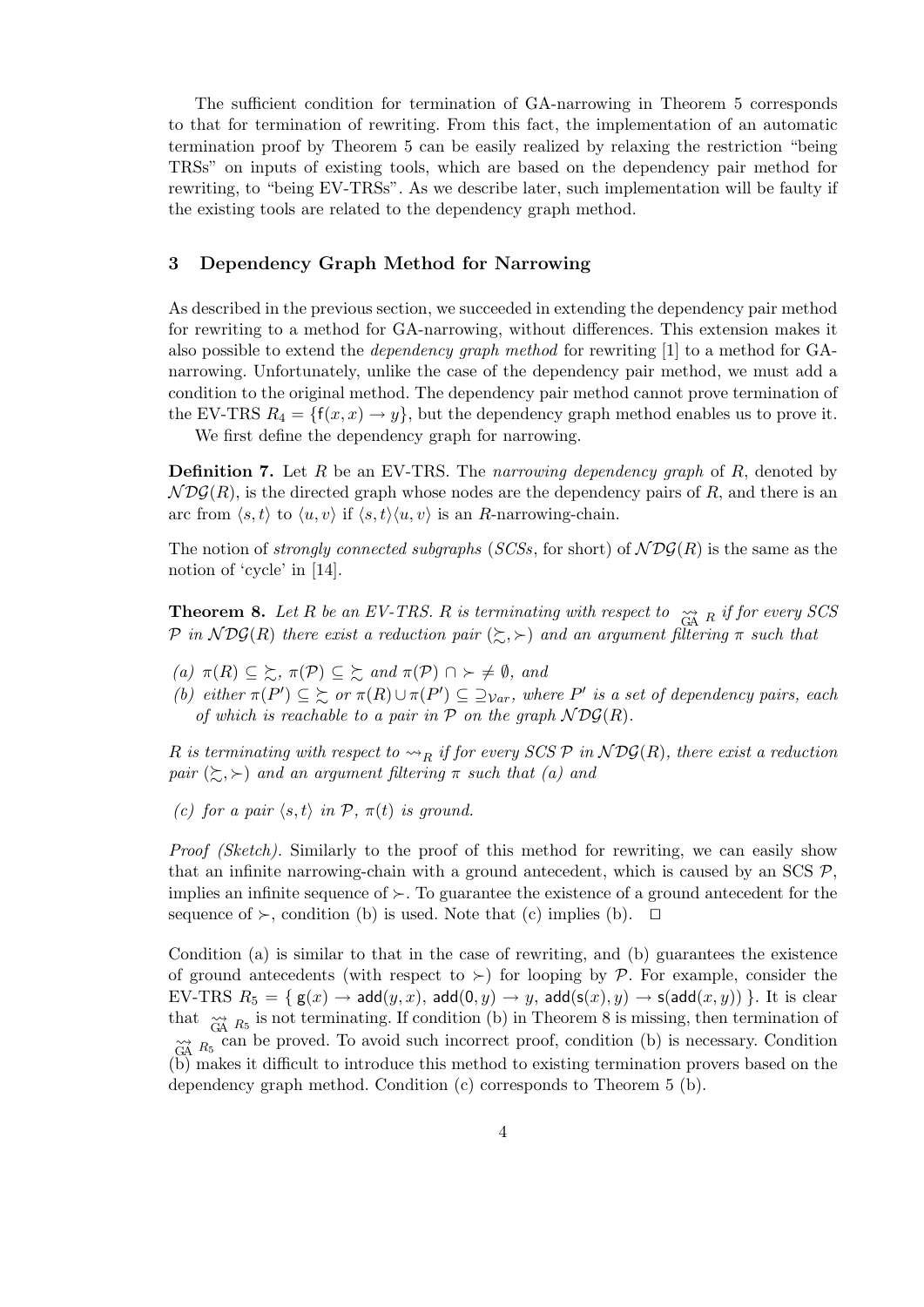The sufficient condition for termination of GA-narrowing in Theorem 5 corresponds to that for termination of rewriting. From this fact, the implementation of an automatic termination proof by Theorem 5 can be easily realized by relaxing the restriction "being TRSs" on inputs of existing tools, which are based on the dependency pair method for rewriting, to "being EV-TRSs". As we describe later, such implementation will be faulty if the existing tools are related to the dependency graph method.

## **3 Dependency Graph Method for Narrowing**

As described in the previous section, we succeeded in extending the dependency pair method for rewriting to a method for GA-narrowing, without differences. This extension makes it also possible to extend the *dependency graph method* for rewriting [1] to a method for GAnarrowing. Unfortunately, unlike the case of the dependency pair method, we must add a condition to the original method. The dependency pair method cannot prove termination of the EV-TRS  $R_4 = \{f(x, x) \rightarrow y\}$ , but the dependency graph method enables us to prove it.

We first define the dependency graph for narrowing.

**Definition 7.** Let *R* be an EV-TRS. The *narrowing dependency graph* of *R*, denoted by  $NDS(R)$ , is the directed graph whose nodes are the dependency pairs of R, and there is an arc from  $\langle s, t \rangle$  to  $\langle u, v \rangle$  if  $\langle s, t \rangle \langle u, v \rangle$  is an *R*-narrowing-chain.

The notion of *strongly connected subgraphs* (*SCSs*, for short) of  $N\mathcal{DG}(R)$  is the same as the notion of 'cycle' in [14].

**Theorem 8.** Let  $R$  be an EV-TRS.  $R$  is terminating with respect to  $\tilde{G}$ <sup> $\tilde{A}$ </sup>  $R$ <sup>*if for every SCS*</sup> *P* in  $NDS(R)$  there exist a reduction pair  $(\succsim, \succ)$  and an argument filtering  $\pi$  such that

- *(a)*  $\pi(R) \subseteq \succsim$ ,  $\pi(\mathcal{P}) \subseteq \succsim$  *and*  $\pi(\mathcal{P}) \cap \succ \neq \emptyset$ *, and*
- (b) either  $\pi(P') \subseteq \sum \sigma \pi(R) \cup \pi(P') \subseteq \supseteq_{Var}$ , where P' is a set of dependency pairs, each *of which is reachable to a pair in*  $\overline{P}$  *on the graph*  $NDS(R)$ *.*

 $R$  *is terminating with respect to*  $\leadsto_R$  *if for every SCS*  $P$  *in*  $\mathcal{N}DG(R)$ *, there exist a reduction pair*  $(\succsim, \succ)$  *and an argument filtering*  $\pi$  *such that* (*a*) *and* 

*(c)* for a pair  $\langle s, t \rangle$  *in*  $\mathcal{P}, \pi(t)$  *is ground.* 

*Proof (Sketch)*. Similarly to the proof of this method for rewriting, we can easily show that an infinite narrowing-chain with a ground antecedent, which is caused by an SCS  $P$ , implies an infinite sequence of  $\succ$ . To guarantee the existence of a ground antecedent for the sequence of  $\succ$ , condition (b) is used. Note that (c) implies (b).  $\square$ 

Condition (a) is similar to that in the case of rewriting, and (b) guarantees the existence of ground antecedents (with respect to  $\geq$ ) for looping by  $P$ . For example, consider the EV-TRS  $R_5 = \{ g(x) \rightarrow \text{add}(y, x), \text{add}(0, y) \rightarrow y, \text{add}(s(x), y) \rightarrow s(\text{add}(x, y)) \}$ . It is clear that  $\tilde{G}$ <sup>A</sup>  $R_5$  is not terminating. If condition (b) in Theorem 8 is missing, then termination of  $\widetilde{G}$ <sup>A</sup> $R_5$ <sup>can</sup> be proved. To avoid such incorrect proof, condition (b) is necessary. Condition (b) makes it difficult to introduce this method to existing termination provers based on the dependency graph method. Condition (c) corresponds to Theorem 5 (b).